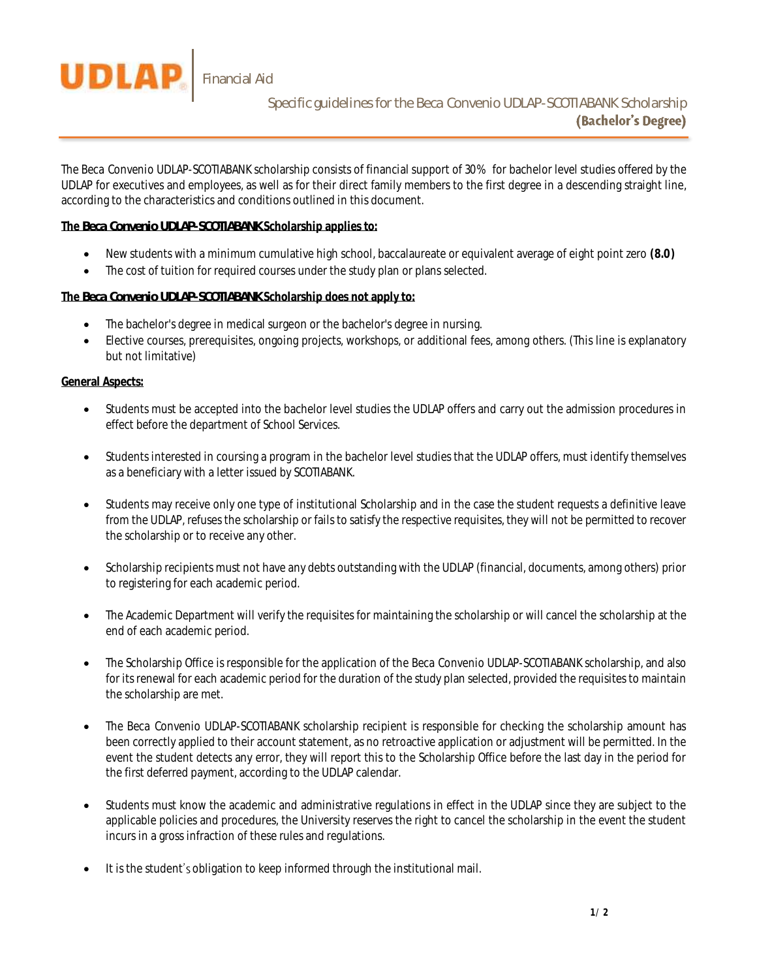

The *Beca Convenio UDLAP-SCOTIABANK* scholarship consists of financial support of 30% for bachelor level studies offered by the UDLAP for executives and employees, as well as for their direct family members to the first degree in a descending straight line, according to the characteristics and conditions outlined in this document.

## **The** *Beca Convenio UDLAP-SCOTIABANK* **Scholarship applies to:**

- New students with a minimum cumulative high school, baccalaureate or equivalent average of eight point zero **(8.0)**
- The cost of tuition for required courses under the study plan or plans selected.

## **The** *Beca Convenio UDLAP-SCOTIABANK* **Scholarship does not apply to:**

- The bachelor's degree in medical surgeon or the bachelor's degree in nursing.
- Elective courses, prerequisites, ongoing projects, workshops, or additional fees, among others. (This line is explanatory but not limitative)

## **General Aspects:**

- Students must be accepted into the bachelor level studies the UDLAP offers and carry out the admission procedures in effect before the department of School Services.
- Students interested in coursing a program in the bachelor level studies that the UDLAP offers, must identify themselves as a beneficiary with a letter issued by SCOTIABANK.
- Students may receive only one type of institutional Scholarship and in the case the student requests a definitive leave from the UDLAP, refuses the scholarship or fails to satisfy the respective requisites, they will not be permitted to recover the scholarship or to receive any other.
- Scholarship recipients must not have any debts outstanding with the UDLAP (financial, documents, among others) prior to registering for each academic period.
- The Academic Department will verify the requisites for maintaining the scholarship or will cancel the scholarship at the end of each academic period.
- The Scholarship Office is responsible for the application of the *Beca Convenio UDLAP-SCOTIABANK* scholarship, and also for its renewal for each academic period for the duration of the study plan selected, provided the requisites to maintain the scholarship are met.
- The *Beca Convenio UDLAP-SCOTIABANK* scholarship recipient is responsible for checking the scholarship amount has been correctly applied to their account statement, as no retroactive application or adjustment will be permitted. In the event the student detects any error, they will report this to the Scholarship Office before the last day in the period for the first deferred payment, according to the UDLAP calendar.
- Students must know the academic and administrative regulations in effect in the UDLAP since they are subject to the applicable policies and procedures, the University reserves the right to cancel the scholarship in the event the student incurs in a gross infraction of these rules and regulations.
- $\bullet$  It is the student's obligation to keep informed through the institutional mail.